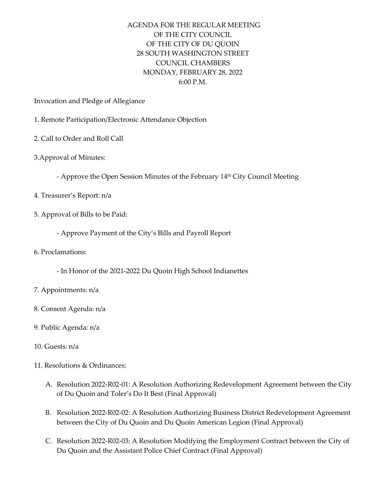## AGENDA FOR THE REGULAR MEETING OF THE CITY COUNCIL OF THE CITY OF DU QUOIN 28 SOUTH WASHINGTON STREET COUNCIL CHAMBERS MONDAY, FEBRUARY 28, 2022 6:00 P.M.

Invocation and Pledge of Allegiance

- 1. Remote Participation/Electronic Attendance Objection
- 2. Call to Order and Roll Call
- 3.Approval of Minutes:
	- Approve the Open Session Minutes of the February 14 th City Council Meeting
- 4. Treasurer's Report: n/a
- 5. Approval of Bills to be Paid:
	- Approve Payment of the City's Bills and Payroll Report
- 6. Proclamations:
	- In Honor of the 2021-2022 Du Quoin High School Indianettes
- 7. Appointments: n/a
- 8. Consent Agenda: n/a
- 9. Public Agenda: n/a
- 10. Guests: n/a
- 11. Resolutions & Ordinances:
	- A. Resolution 2022-R02-01: A Resolution Authorizing Redevelopment Agreement between the City of Du Quoin and Toler's Do It Best (Final Approval)
	- B. Resolution 2022-R02-02: A Resolution Authorizing Business District Redevelopment Agreement between the City of Du Quoin and Du Quoin American Legion (Final Approval)
	- C. Resolution 2022-R02-03: A Resolution Modifying the Employment Contract between the City of Du Quoin and the Assistant Police Chief Contract (Final Approval)